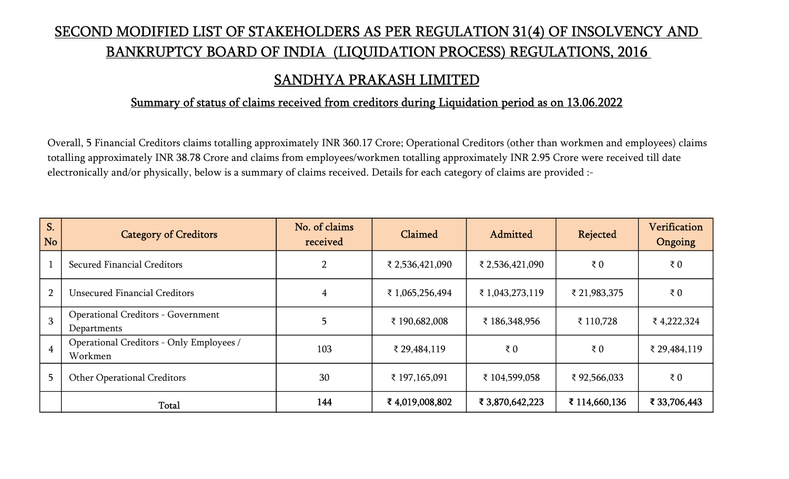# SECOND MODIFIED LIST OF STAKEHOLDERS AS PER REGULATION 31(4) OF INSOLVENCY AND BANKRUPTCY BOARD OF INDIA (LIQUIDATION PROCESS) REGULATIONS, 2016

## SANDHYA PRAKASH LIMITED

#### Summary of status of claims received from creditors during Liquidation period as on 13.06.2022

Overall, 5 Financial Creditors claims totalling approximately INR 360.17 Crore; Operational Creditors (other than workmen and employees) claims totalling approximately INR 38.78 Crore and claims from employees/workmen totalling approximately INR 2.95 Crore were received till date electronically and/or physically, below is a summary of claims received. Details for each category of claims are provided :-

| S.<br><b>No</b> | <b>Category of Creditors</b>                             | No. of claims<br>received | Claimed         | Admitted        | Rejected      | Verification<br>Ongoing |
|-----------------|----------------------------------------------------------|---------------------------|-----------------|-----------------|---------------|-------------------------|
|                 | Secured Financial Creditors                              | $\overline{2}$            | ₹ 2,536,421,090 | ₹ 2,536,421,090 | ₹ $0$         | ₹ $0$                   |
| $\overline{2}$  | <b>Unsecured Financial Creditors</b>                     | 4                         | ₹1,065,256,494  | ₹ 1,043,273,119 | ₹ 21,983,375  | ₹ $0$                   |
| $\overline{3}$  | <b>Operational Creditors - Government</b><br>Departments |                           | ₹ 190,682,008   | ₹ 186,348,956   | ₹ 110,728     | ₹4,222,324              |
| $\overline{4}$  | Operational Creditors - Only Employees /<br>Workmen      | 103                       | ₹ 29,484,119    | ₹ $0$           | ₹ $0$         | ₹ 29,484,119            |
| 5               | <b>Other Operational Creditors</b>                       | 30                        | ₹ 197,165,091   | ₹ 104,599,058   | ₹92,566,033   | $\bar{\tau}$ 0          |
|                 | Total                                                    | 144                       | ₹4,019,008,802  | ₹ 3,870,642,223 | ₹ 114,660,136 | ₹ 33,706,443            |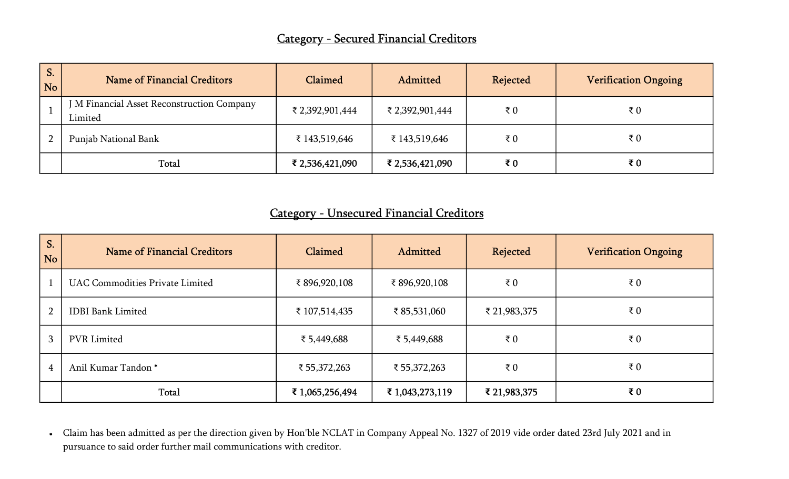| <b>S.</b><br><b>No</b> | Name of Financial Creditors                           | Claimed         | Admitted        | Rejected       | <b>Verification Ongoing</b> |
|------------------------|-------------------------------------------------------|-----------------|-----------------|----------------|-----------------------------|
|                        | J M Financial Asset Reconstruction Company<br>Limited | ₹ 2,392,901,444 | ₹ 2,392,901,444 | ₹ $0$          | ₹ $0$                       |
| $\overline{2}$         | Punjab National Bank                                  | ₹ 143,519,646   | ₹ 143,519,646   | $\bar{\tau}$ 0 | ₹ $0$                       |
|                        | Total                                                 | ₹ 2,536,421,090 | ₹ 2,536,421,090 | $\bar{x}$ 0    | ₹0                          |

### Category - Unsecured Financial Creditors

| S <sub>1</sub><br><b>No</b> | Name of Financial Creditors            | Claimed         | Admitted        | Rejected       | <b>Verification Ongoing</b> |
|-----------------------------|----------------------------------------|-----------------|-----------------|----------------|-----------------------------|
|                             | <b>UAC Commodities Private Limited</b> | ₹896,920,108    | ₹896,920,108    | ₹ $0$          | $\bar{\tau}$ 0              |
| $\overline{2}$              | <b>IDBI</b> Bank Limited               | ₹ 107,514,435   | ₹ 85,531,060    | ₹ 21,983,375   | ₹ $0$                       |
| 3                           | <b>PVR</b> Limited                     | ₹5,449,688      | ₹ 5,449,688     | $\bar{\tau}$ 0 | $\bar{\tau}$ 0              |
| 4                           | Anil Kumar Tandon*                     | ₹ 55,372,263    | ₹ 55,372,263    | ₹ $0$          | $\bar{\tau}$ 0              |
|                             | Total                                  | ₹ 1,065,256,494 | ₹ 1,043,273,119 | ₹ 21,983,375   | ₹ $0$                       |

\* Claim has been admitted as per the direction given by Hon'ble NCLAT in Company Appeal No. 1327 of 2019 vide order dated 23rd July 2021 and in pursuance to said order further mail communications with creditor.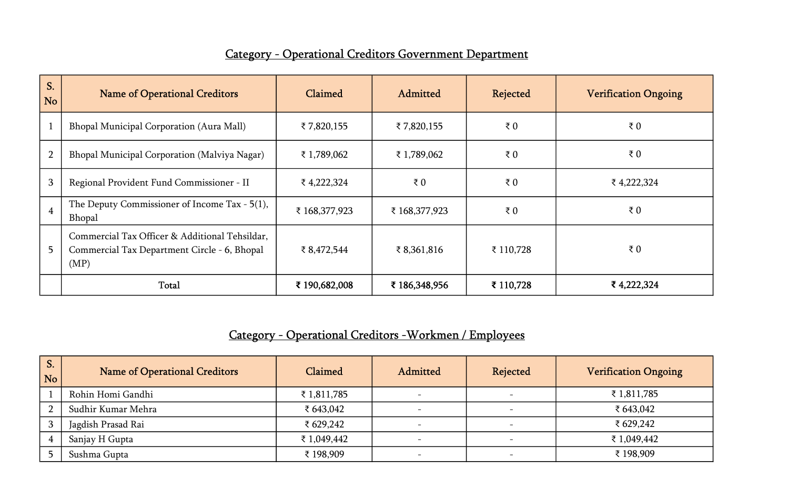# Category - Operational Creditors Government Department

| S.<br><b>No</b> | <b>Name of Operational Creditors</b>                                                                   | Claimed       | Admitted      | Rejected    | <b>Verification Ongoing</b> |
|-----------------|--------------------------------------------------------------------------------------------------------|---------------|---------------|-------------|-----------------------------|
|                 | <b>Bhopal Municipal Corporation (Aura Mall)</b>                                                        | ₹7,820,155    | ₹7,820,155    | ₹ $0$       | ₹ $0$                       |
| $\overline{2}$  | Bhopal Municipal Corporation (Malviya Nagar)                                                           | ₹ 1,789,062   | ₹ 1,789,062   | $\bar{z}$ 0 | ₹ $0$                       |
| 3               | Regional Provident Fund Commissioner - II                                                              | ₹4,222,324    | ₹ $0$         | $\bar{z}$ 0 | ₹4,222,324                  |
| $\overline{4}$  | The Deputy Commissioner of Income Tax $-5(1)$ ,<br>Bhopal                                              | ₹ 168,377,923 | ₹ 168,377,923 | ₹ $0$       | ₹ $0$                       |
| 5 <sup>5</sup>  | Commercial Tax Officer & Additional Tehsildar,<br>Commercial Tax Department Circle - 6, Bhopal<br>(MP) | ₹8,472,544    | ₹ $8,361,816$ | ₹ 110,728   | ₹ $0$                       |
|                 | Total                                                                                                  | ₹ 190,682,008 | ₹ 186,348,956 | ₹ 110,728   | ₹4,222,324                  |

# Category - Operational Creditors -Workmen / Employees

| S.<br>No     | <b>Name of Operational Creditors</b> | Claimed     | Admitted | <b>Rejected</b>          | <b>Verification Ongoing</b> |
|--------------|--------------------------------------|-------------|----------|--------------------------|-----------------------------|
|              | Rohin Homi Gandhi                    | ₹ 1,811,785 |          |                          | ₹ 1,811,785                 |
| <sup>n</sup> | Sudhir Kumar Mehra                   | ₹ $643,042$ |          | $\overline{\phantom{a}}$ | ₹ 643,042                   |
| 3            | Jagdish Prasad Rai                   | ₹ 629,242   |          | $\overline{\phantom{0}}$ | ₹ $629,242$                 |
|              | Sanjay H Gupta                       | ₹ 1,049,442 |          | $\overline{\phantom{0}}$ | ₹ 1,049,442                 |
|              | Sushma Gupta                         | ₹ 198,909   |          | $\overline{\phantom{a}}$ | ₹ 198,909                   |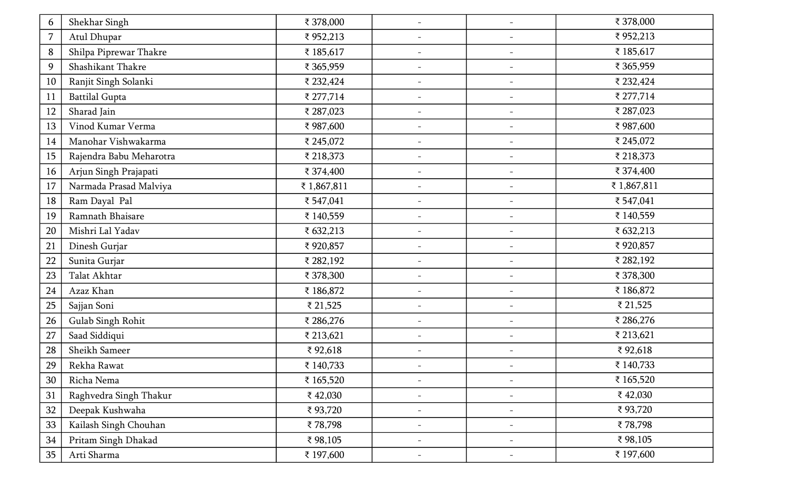| 6  | Shekhar Singh           | ₹ 378,000  | $\overline{\phantom{a}}$ | $\overline{\phantom{a}}$ | ₹ 378,000  |
|----|-------------------------|------------|--------------------------|--------------------------|------------|
| 7  | Atul Dhupar             | ₹952,213   | $\overline{\phantom{a}}$ | $\overline{\phantom{a}}$ | ₹952,213   |
| 8  | Shilpa Piprewar Thakre  | ₹ 185,617  | $\overline{\phantom{a}}$ | $\overline{\phantom{m}}$ | ₹ 185,617  |
| 9  | Shashikant Thakre       | ₹ 365,959  | $-$                      | $\overline{\phantom{a}}$ | ₹ 365,959  |
| 10 | Ranjit Singh Solanki    | ₹ 232,424  | $\overline{\phantom{a}}$ | $\overline{\phantom{a}}$ | ₹ 232,424  |
| 11 | <b>Battilal Gupta</b>   | ₹ 277,714  | $\overline{\phantom{a}}$ | $\overline{\phantom{a}}$ | ₹ 277,714  |
| 12 | Sharad Jain             | ₹ 287,023  | $\overline{\phantom{a}}$ | $\overline{\phantom{a}}$ | ₹ 287,023  |
| 13 | Vinod Kumar Verma       | ₹987,600   | $\overline{\phantom{a}}$ | $\overline{\phantom{a}}$ | ₹987,600   |
| 14 | Manohar Vishwakarma     | ₹ 245,072  | $\overline{\phantom{a}}$ | $\overline{\phantom{a}}$ | ₹ 245,072  |
| 15 | Rajendra Babu Meharotra | ₹ 218,373  | $\overline{\phantom{a}}$ | $\overline{\phantom{a}}$ | ₹ 218,373  |
| 16 | Arjun Singh Prajapati   | ₹ 374,400  | $\overline{\phantom{a}}$ | $\overline{\phantom{a}}$ | ₹ 374,400  |
| 17 | Narmada Prasad Malviya  | ₹1,867,811 | $\overline{\phantom{a}}$ | $\overline{\phantom{a}}$ | ₹1,867,811 |
| 18 | Ram Dayal Pal           | ₹ 547,041  | $\overline{\phantom{a}}$ | $\overline{\phantom{a}}$ | ₹ 547,041  |
| 19 | Ramnath Bhaisare        | ₹ 140,559  | $\overline{\phantom{m}}$ | $\overline{\phantom{a}}$ | ₹ 140,559  |
| 20 | Mishri Lal Yadav        | ₹ 632,213  | $-$                      | $\overline{\phantom{m}}$ | ₹ 632,213  |
| 21 | Dinesh Gurjar           | ₹920,857   | $\overline{\phantom{a}}$ | $\overline{\phantom{a}}$ | ₹920,857   |
| 22 | Sunita Gurjar           | ₹ 282,192  | $\overline{\phantom{a}}$ | $\overline{\phantom{a}}$ | ₹ 282,192  |
| 23 | Talat Akhtar            | ₹ 378,300  | $\overline{\phantom{a}}$ | $\overline{\phantom{a}}$ | ₹ 378,300  |
| 24 | Azaz Khan               | ₹ 186,872  | $\overline{\phantom{a}}$ | $\overline{\phantom{a}}$ | ₹ 186,872  |
| 25 | Sajjan Soni             | ₹ 21,525   | $\overline{\phantom{a}}$ | $\overline{\phantom{a}}$ | ₹ 21,525   |
| 26 | Gulab Singh Rohit       | ₹ 286,276  | $-$                      | $\overline{\phantom{a}}$ | ₹ 286,276  |
| 27 | Saad Siddiqui           | ₹ 213,621  | $\overline{\phantom{a}}$ | $\overline{\phantom{a}}$ | ₹ 213,621  |
| 28 | Sheikh Sameer           | ₹92,618    | $\overline{\phantom{a}}$ | $\overline{\phantom{a}}$ | ₹92,618    |
| 29 | Rekha Rawat             | ₹ 140,733  |                          |                          | ₹ 140,733  |
| 30 | Richa Nema              | ₹ 165,520  | $\qquad \qquad -$        |                          | ₹ 165,520  |
| 31 | Raghvedra Singh Thakur  | ₹42,030    | $\overline{\phantom{m}}$ | $\overline{\phantom{a}}$ | ₹42,030    |
| 32 | Deepak Kushwaha         | ₹93,720    | $\overline{\phantom{a}}$ | $\overline{\phantom{a}}$ | ₹93,720    |
| 33 | Kailash Singh Chouhan   | ₹78,798    | $\overline{\phantom{m}}$ | $\overline{\phantom{a}}$ | ₹78,798    |
| 34 | Pritam Singh Dhakad     | ₹98,105    | $\equiv$                 | $\overline{\phantom{a}}$ | ₹98,105    |
| 35 | Arti Sharma             | ₹ 197,600  |                          |                          | ₹ 197,600  |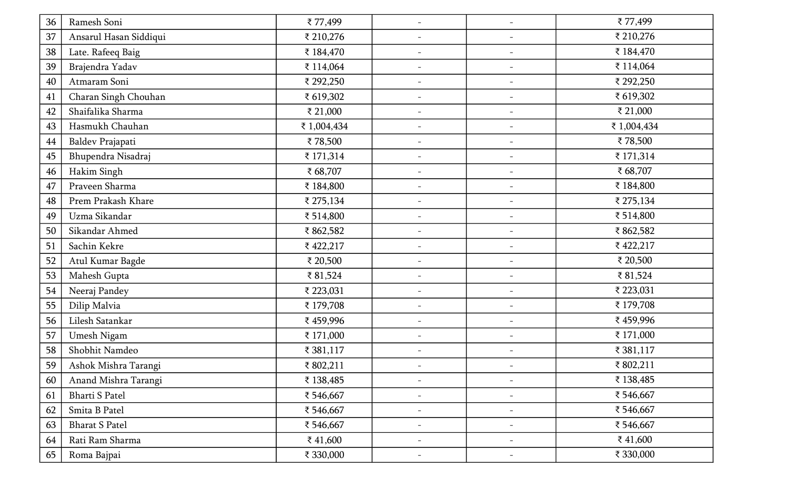| 36 | Ramesh Soni            | ₹77,499     | $\qquad \qquad -$        | $\overline{\phantom{a}}$ | ₹77,499     |
|----|------------------------|-------------|--------------------------|--------------------------|-------------|
| 37 | Ansarul Hasan Siddiqui | ₹ 210,276   | $\overline{\phantom{a}}$ | $\overline{\phantom{m}}$ | ₹ 210,276   |
| 38 | Late. Rafeeq Baig      | ₹ 184,470   | $\overline{\phantom{a}}$ |                          | ₹ 184,470   |
| 39 | Brajendra Yadav        | ₹ 114,064   | $\overline{\phantom{a}}$ | $\overline{\phantom{a}}$ | ₹ 114,064   |
| 40 | Atmaram Soni           | ₹ 292,250   | $\overline{\phantom{a}}$ | $\overline{\phantom{m}}$ | ₹ 292,250   |
| 41 | Charan Singh Chouhan   | ₹ 619,302   | $\overline{\phantom{a}}$ | $\overline{\phantom{a}}$ | ₹ 619,302   |
| 42 | Shaifalika Sharma      | ₹ 21,000    | $\overline{\phantom{a}}$ | $\overline{\phantom{m}}$ | ₹ 21,000    |
| 43 | Hasmukh Chauhan        | ₹ 1,004,434 | $\overline{\phantom{a}}$ |                          | ₹ 1,004,434 |
| 44 | Baldev Prajapati       | ₹78,500     | $\overline{\phantom{a}}$ | $\overline{\phantom{m}}$ | ₹78,500     |
| 45 | Bhupendra Nisadraj     | ₹ 171,314   | $\overline{\phantom{a}}$ | $\overline{\phantom{a}}$ | ₹ 171,314   |
| 46 | Hakim Singh            | ₹ 68,707    | $\overline{\phantom{a}}$ | $\overline{\phantom{a}}$ | ₹ 68,707    |
| 47 | Praveen Sharma         | ₹ 184,800   | $\overline{\phantom{a}}$ | $\overline{\phantom{a}}$ | ₹ 184,800   |
| 48 | Prem Prakash Khare     | ₹ 275,134   | $\overline{\phantom{a}}$ |                          | ₹ 275,134   |
| 49 | Uzma Sikandar          | ₹ 514,800   | $\overline{\phantom{a}}$ |                          | ₹ 514,800   |
| 50 | Sikandar Ahmed         | ₹862,582    | $\overline{\phantom{a}}$ | $\overline{\phantom{a}}$ | ₹862,582    |
| 51 | Sachin Kekre           | ₹422,217    | $\overline{\phantom{a}}$ | $\overline{\phantom{a}}$ | ₹422,217    |
| 52 | Atul Kumar Bagde       | ₹ 20,500    | $\overline{\phantom{a}}$ | $\overline{\phantom{a}}$ | ₹ 20,500    |
| 53 | Mahesh Gupta           | ₹81,524     | $\overline{\phantom{a}}$ | $\overline{\phantom{a}}$ | ₹81,524     |
| 54 | Neeraj Pandey          | ₹ 223,031   | $\overline{\phantom{a}}$ |                          | ₹ 223,031   |
| 55 | Dilip Malvia           | ₹ 179,708   | $\overline{\phantom{a}}$ | $\overline{\phantom{m}}$ | ₹ 179,708   |
| 56 | Lilesh Satankar        | ₹459,996    | $\overline{\phantom{a}}$ | $\overline{\phantom{a}}$ | ₹459,996    |
| 57 | Umesh Nigam            | ₹ 171,000   | $\overline{\phantom{a}}$ | $\overline{\phantom{m}}$ | ₹ 171,000   |
| 58 | Shobhit Namdeo         | ₹ 381,117   | $\overline{\phantom{a}}$ | $\overline{\phantom{m}}$ | ₹ 381,117   |
| 59 | Ashok Mishra Tarangi   | ₹802,211    |                          |                          | ₹802,211    |
| 60 | Anand Mishra Tarangi   | ₹ 138,485   |                          |                          | ₹ 138,485   |
| 61 | Bharti S Patel         | ₹ 546,667   | $\overline{\phantom{a}}$ | $\overline{\phantom{m}}$ | ₹ 546,667   |
| 62 | Smita B Patel          | ₹ 546,667   | $\overline{\phantom{a}}$ | $\overline{\phantom{m}}$ | ₹ 546,667   |
| 63 | <b>Bharat S Patel</b>  | ₹ 546,667   | $\overline{\phantom{a}}$ | $\overline{\phantom{m}}$ | ₹ 546,667   |
| 64 | Rati Ram Sharma        | ₹41,600     | $\overline{\phantom{a}}$ | $\overline{\phantom{a}}$ | ₹41,600     |
| 65 | Roma Bajpai            | ₹ 330,000   |                          |                          | ₹ 330,000   |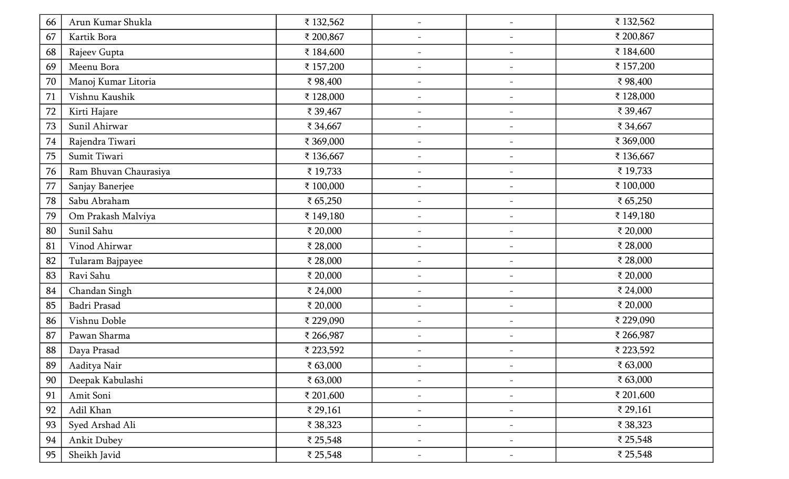| 66 | Arun Kumar Shukla     | ₹ 132,562 | $\overline{\phantom{a}}$ | $\overline{\phantom{a}}$ | ₹ 132,562 |
|----|-----------------------|-----------|--------------------------|--------------------------|-----------|
| 67 | Kartik Bora           | ₹ 200,867 | $\overline{\phantom{a}}$ | $\overline{\phantom{a}}$ | ₹ 200,867 |
| 68 | Rajeev Gupta          | ₹ 184,600 | $\overline{\phantom{a}}$ | $\overline{\phantom{a}}$ | ₹ 184,600 |
| 69 | Meenu Bora            | ₹ 157,200 | $\overline{\phantom{a}}$ | $\overline{\phantom{a}}$ | ₹ 157,200 |
| 70 | Manoj Kumar Litoria   | ₹98,400   | $\overline{\phantom{a}}$ | $\overline{\phantom{a}}$ | ₹98,400   |
| 71 | Vishnu Kaushik        | ₹ 128,000 | $\overline{\phantom{a}}$ | $\overline{\phantom{a}}$ | ₹ 128,000 |
| 72 | Kirti Hajare          | ₹ 39,467  | $\overline{\phantom{a}}$ | $\overline{\phantom{a}}$ | ₹ 39,467  |
| 73 | Sunil Ahirwar         | ₹ 34,667  | $\overline{\phantom{a}}$ | $\overline{\phantom{a}}$ | ₹ 34,667  |
| 74 | Rajendra Tiwari       | ₹ 369,000 | $\overline{\phantom{a}}$ | $\overline{\phantom{a}}$ | ₹ 369,000 |
| 75 | Sumit Tiwari          | ₹ 136,667 | $\overline{\phantom{a}}$ | $\overline{\phantom{a}}$ | ₹ 136,667 |
| 76 | Ram Bhuvan Chaurasiya | ₹ 19,733  | $\overline{\phantom{a}}$ | $\overline{\phantom{a}}$ | ₹ 19,733  |
| 77 | Sanjay Banerjee       | ₹ 100,000 | $\overline{\phantom{a}}$ | $\overline{\phantom{a}}$ | ₹ 100,000 |
| 78 | Sabu Abraham          | ₹ 65,250  | $\overline{\phantom{a}}$ | $\overline{\phantom{a}}$ | ₹ 65,250  |
| 79 | Om Prakash Malviya    | ₹ 149,180 | $\overline{\phantom{a}}$ | $\overline{\phantom{a}}$ | ₹ 149,180 |
| 80 | Sunil Sahu            | ₹ 20,000  | $\overline{\phantom{a}}$ | $\overline{\phantom{a}}$ | ₹ 20,000  |
| 81 | Vinod Ahirwar         | ₹ 28,000  | $\overline{\phantom{a}}$ | $\overline{\phantom{a}}$ | ₹ 28,000  |
| 82 | Tularam Bajpayee      | ₹ 28,000  | $\overline{\phantom{m}}$ | $\overline{\phantom{a}}$ | ₹ 28,000  |
| 83 | Ravi Sahu             | ₹ 20,000  | $\overline{\phantom{a}}$ | $\overline{\phantom{a}}$ | ₹ 20,000  |
| 84 | Chandan Singh         | ₹ 24,000  | $\overline{\phantom{a}}$ | $\overline{\phantom{a}}$ | ₹ 24,000  |
| 85 | Badri Prasad          | ₹ 20,000  | $\overline{\phantom{m}}$ | $\overline{\phantom{a}}$ | ₹ 20,000  |
| 86 | Vishnu Doble          | ₹ 229,090 | $-$                      | $\overline{\phantom{a}}$ | ₹ 229,090 |
| 87 | Pawan Sharma          | ₹ 266,987 | $\overline{\phantom{a}}$ | $\overline{\phantom{a}}$ | ₹ 266,987 |
| 88 | Daya Prasad           | ₹ 223,592 | $\overline{\phantom{a}}$ | $\overline{\phantom{a}}$ | ₹ 223,592 |
| 89 | Aaditya Nair          | ₹ 63,000  |                          |                          | ₹ 63,000  |
| 90 | Deepak Kabulashi      | ₹ 63,000  | $\overline{\phantom{a}}$ | $\overline{\phantom{a}}$ | ₹ 63,000  |
| 91 | Amit Soni             | ₹ 201,600 | $\overline{\phantom{a}}$ | $\overline{\phantom{m}}$ | ₹ 201,600 |
| 92 | Adil Khan             | ₹ 29,161  | $-$                      | $\overline{\phantom{a}}$ | ₹ 29,161  |
| 93 | Syed Arshad Ali       | ₹ 38,323  | $\overline{\phantom{a}}$ | $\overline{\phantom{a}}$ | ₹ 38,323  |
| 94 | <b>Ankit Dubey</b>    | ₹ 25,548  | $\overline{\phantom{0}}$ | $\overline{\phantom{a}}$ | ₹ 25,548  |
| 95 | Sheikh Javid          | ₹ 25,548  | $\overline{\phantom{a}}$ | $\overline{\phantom{a}}$ | ₹ 25,548  |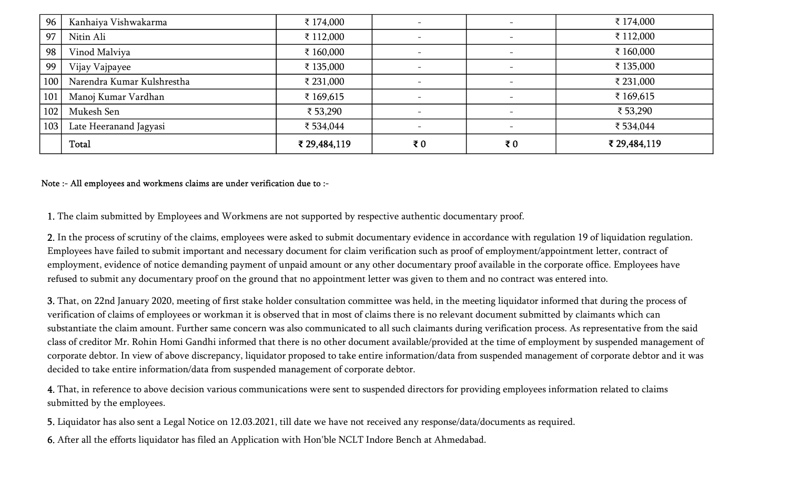| 96  | Kanhaiya Vishwakarma       | ₹ 174,000    |                          | $\overline{\phantom{a}}$ | ₹ 174,000    |
|-----|----------------------------|--------------|--------------------------|--------------------------|--------------|
| 97  | Nitin Ali                  | ₹ 112,000    |                          | $\overline{\phantom{a}}$ | ₹ 112,000    |
| 98  | Vinod Malviya              | ₹ 160,000    | $\overline{\phantom{a}}$ | $\overline{\phantom{a}}$ | ₹ 160,000    |
| 99  | Vijay Vajpayee             | ₹ 135,000    |                          |                          | ₹ 135,000    |
| 100 | Narendra Kumar Kulshrestha | ₹ 231,000    | $\overline{\phantom{a}}$ | $\overline{\phantom{a}}$ | ₹ 231,000    |
| 101 | Manoj Kumar Vardhan        | ₹ 169,615    |                          |                          | ₹ 169,615    |
| 102 | Mukesh Sen                 | ₹ 53,290     | $\overline{\phantom{a}}$ | $\qquad \qquad$          | ₹ 53,290     |
| 103 | Late Heeranand Jagyasi     | ₹ 534,044    |                          |                          | ₹534,044     |
|     | Total                      | ₹ 29,484,119 | $\bar{\mathbf{z}}_0$     | ₹0                       | ₹ 29,484,119 |

#### Note :- All employees and workmens claims are under verification due to :-

1. The claim submitted by Employees and Workmens are not supported by respective authentic documentary proof.

2. In the process of scrutiny of the claims, employees were asked to submit documentary evidence in accordance with regulation 19 of liquidation regulation. Employees have failed to submit important and necessary document for claim verification such as proof of employment/appointment letter, contract of employment, evidence of notice demanding payment of unpaid amount or any other documentary proof available in the corporate office. Employees have refused to submit any documentary proof on the ground that no appointment letter was given to them and no contract was entered into.

3. That, on 22nd January 2020, meeting of first stake holder consultation committee was held, in the meeting liquidator informed that during the process of verification of claims of employees or workman it is observed that in most of claims there is no relevant document submitted by claimants which can substantiate the claim amount. Further same concern was also communicated to all such claimants during verification process. As representative from the said class of creditor Mr. Rohin Homi Gandhi informed that there is no other document available/provided at the time of employment by suspended management of corporate debtor. In view of above discrepancy, liquidator proposed to take entire information/data from suspended management of corporate debtor and it was decided to take entire information/data from suspended management of corporate debtor.

4. That, in reference to above decision various communications were sent to suspended directors for providing employees information related to claims submitted by the employees.

5. Liquidator has also sent a Legal Notice on 12.03.2021, till date we have not received any response/data/documents as required.

6. After all the efforts liquidator has filed an Application with Hon'ble NCLT Indore Bench at Ahmedabad.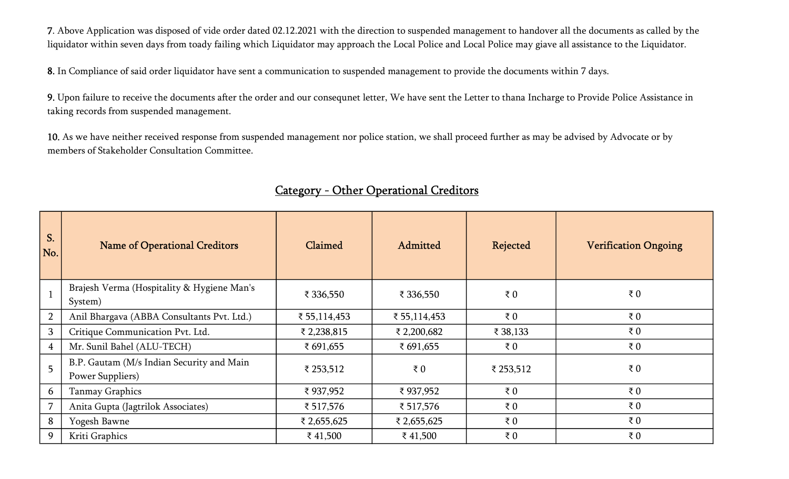7. Above Application was disposed of vide order dated 02.12.2021 with the direction to suspended management to handover all the documents as called by the liquidator within seven days from toady failing which Liquidator may approach the Local Police and Local Police may giave all assistance to the Liquidator.

8. In Compliance of said order liquidator have sent a communication to suspended management to provide the documents within 7 days.

9. Upon failure to receive the documents after the order and our consequnet letter, We have sent the Letter to thana Incharge to Provide Police Assistance in taking records from suspended management.

10. As we have neither received response from suspended management nor police station, we shall proceed further as may be advised by Advocate or by members of Stakeholder Consultation Committee.

| S.<br>No.      | <b>Name of Operational Creditors</b>                          | Claimed      | Admitted       | Rejected  | <b>Verification Ongoing</b> |
|----------------|---------------------------------------------------------------|--------------|----------------|-----------|-----------------------------|
|                | Brajesh Verma (Hospitality & Hygiene Man's<br>System)         | ₹ 336,550    | ₹ 336,550      | ₹ $0$     | $\bar{\tau}$ 0              |
| $\overline{2}$ | Anil Bhargava (ABBA Consultants Pvt. Ltd.)                    | ₹ 55,114,453 | ₹ 55,114,453   | ₹ $0$     | $\bar{\tau}$ 0              |
| $\overline{3}$ | Critique Communication Pvt. Ltd.                              | ₹ 2,238,815  | ₹ 2,200,682    | ₹ 38,133  | $\bar{\tau}$ 0              |
| $\overline{4}$ | Mr. Sunil Bahel (ALU-TECH)                                    | ₹ 691,655    | ₹ 691,655      | ₹ $0$     | $\bar{\tau}$ 0              |
| 5              | B.P. Gautam (M/s Indian Security and Main<br>Power Suppliers) | ₹ 253,512    | $\bar{\tau}$ 0 | ₹ 253,512 | ₹ $0$                       |
| 6              | Tanmay Graphics                                               | ₹937,952     | ₹937,952       | ₹ $0$     | $\bar{\tau}$ 0              |
| $\overline{7}$ | Anita Gupta (Jagtrilok Associates)                            | ₹ 517,576    | ₹ 517,576      | ₹ $0$     | $\bar{\tau}$ 0              |
| 8              | Yogesh Bawne                                                  | ₹ 2,655,625  | ₹ 2,655,625    | ₹ $0$     | $\bar{\tau}$ 0              |
| 9              | Kriti Graphics                                                | ₹ 41,500     | ₹ 41,500       | ₹ $0$     | $\bar{\tau}$ 0              |

#### Category - Other Operational Creditors